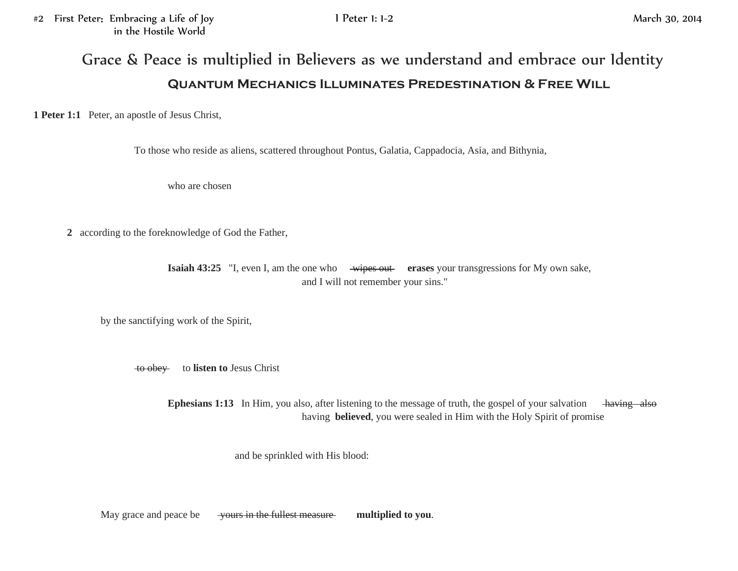## Grace & Peace is multiplied in Believers as we understand and embrace our Identity **Quantum Mechanics Illuminates Predestination & Free Will**

**1 Peter 1:1** Peter, an apostle of Jesus Christ,

To those who reside as aliens, scattered throughout Pontus, Galatia, Cappadocia, Asia, and Bithynia,

who are chosen

**2** according to the foreknowledge of God the Father,

**Isaiah 43:25** "I, even I, am the one who wipes out reases your transgressions for My own sake, and I will not remember your sins."

by the sanctifying work of the Spirit,

to obey to **listen to** Jesus Christ

**Ephesians 1:13** In Him, you also, after listening to the message of truth, the gospel of your salvation having also having **believed**, you were sealed in Him with the Holy Spirit of promise

and be sprinkled with His blood:

May grace and peace be yours in the fullest measure **multiplied to you**.